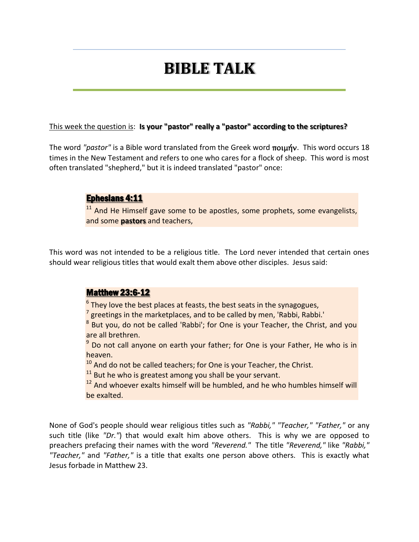# **BIBLE TALK**

#### This week the question is: **Is your "pastor" really a "pastor" according to the scriptures?**

The word *"pastor"* is a Bible word translated from the Greek word ποιμήν. This word occurs 18 times in the New Testament and refers to one who cares for a flock of sheep. This word is most often translated "shepherd," but it is indeed translated "pastor" once:

#### Ephesians 4:11

<sup>11</sup> And He Himself gave some to be apostles, some prophets, some evangelists, and some **pastors** and teachers,

This word was not intended to be a religious title. The Lord never intended that certain ones should wear religious titles that would exalt them above other disciples. Jesus said:

#### Matthew 23:6-12

 $^6$  They love the best places at feasts, the best seats in the synagogues,

 $^{7}$  greetings in the marketplaces, and to be called by men, 'Rabbi, Rabbi.'

 $8$  But you, do not be called 'Rabbi'; for One is your Teacher, the Christ, and you are all brethren.

 $9$  Do not call anyone on earth your father; for One is your Father, He who is in heaven.

 $10$  And do not be called teachers; for One is your Teacher, the Christ.

 $11$  But he who is greatest among you shall be your servant.

<sup>12</sup> And whoever exalts himself will be humbled, and he who humbles himself will be exalted.

None of God's people should wear religious titles such as *"Rabbi," "Teacher," "Father,"* or any such title (like *"Dr."*) that would exalt him above others. This is why we are opposed to preachers prefacing their names with the word *"Reverend."* The title *"Reverend,"* like *"Rabbi," "Teacher,"* and *"Father,"* is a title that exalts one person above others. This is exactly what Jesus forbade in Matthew 23.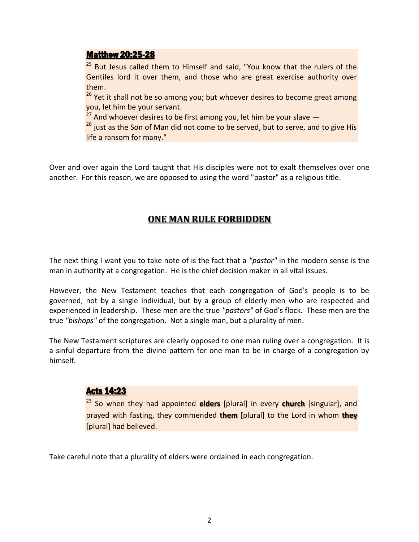#### Matthew 20:25-28

<sup>25</sup> But Jesus called them to Himself and said, "You know that the rulers of the Gentiles lord it over them, and those who are great exercise authority over them.

<sup>26</sup> Yet it shall not be so among you; but whoever desires to become great among you, let him be your servant.

 $27$  And whoever desires to be first among you, let him be your slave  $-$ 

 $28$  just as the Son of Man did not come to be served, but to serve, and to give His life a ransom for many."

Over and over again the Lord taught that His disciples were not to exalt themselves over one another. For this reason, we are opposed to using the word "pastor" as a religious title.

## **ONE MAN RULE FORBIDDEN**

The next thing I want you to take note of is the fact that a *"pastor"* in the modern sense is the man in authority at a congregation. He is the chief decision maker in all vital issues.

However, the New Testament teaches that each congregation of God's people is to be governed, not by a single individual, but by a group of elderly men who are respected and experienced in leadership. These men are the true *"pastors"* of God's flock. These men are the true *"bishops"* of the congregation. Not a single man, but a plurality of men.

The New Testament scriptures are clearly opposed to one man ruling over a congregation. It is a sinful departure from the divine pattern for one man to be in charge of a congregation by himself.

## Acts 14:23

<sup>23</sup> So when they had appointed **elders** [plural] in every **church** [singular], and prayed with fasting, they commended **them** [plural] to the Lord in whom **they** [plural] had believed.

Take careful note that a plurality of elders were ordained in each congregation.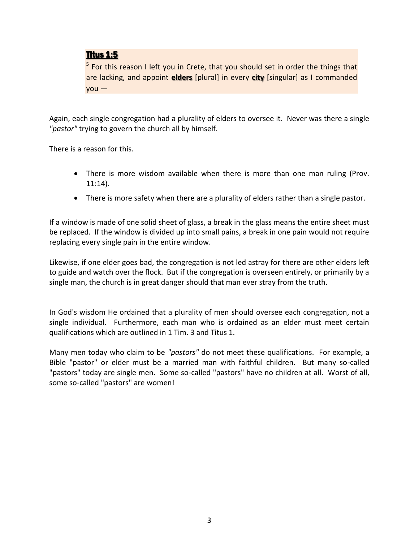## Titus 1:5

<sup>5</sup> For this reason I left you in Crete, that you should set in order the things that are lacking, and appoint **elders** [plural] in every **city** [singular] as I commanded you —

Again, each single congregation had a plurality of elders to oversee it. Never was there a single *"pastor"* trying to govern the church all by himself.

There is a reason for this.

- There is more wisdom available when there is more than one man ruling (Prov. 11:14).
- There is more safety when there are a plurality of elders rather than a single pastor.

If a window is made of one solid sheet of glass, a break in the glass means the entire sheet must be replaced. If the window is divided up into small pains, a break in one pain would not require replacing every single pain in the entire window.

Likewise, if one elder goes bad, the congregation is not led astray for there are other elders left to guide and watch over the flock. But if the congregation is overseen entirely, or primarily by a single man, the church is in great danger should that man ever stray from the truth.

In God's wisdom He ordained that a plurality of men should oversee each congregation, not a single individual. Furthermore, each man who is ordained as an elder must meet certain qualifications which are outlined in 1 Tim. 3 and Titus 1.

Many men today who claim to be *"pastors"* do not meet these qualifications. For example, a Bible "pastor" or elder must be a married man with faithful children. But many so-called "pastors" today are single men. Some so-called "pastors" have no children at all. Worst of all, some so-called "pastors" are women!